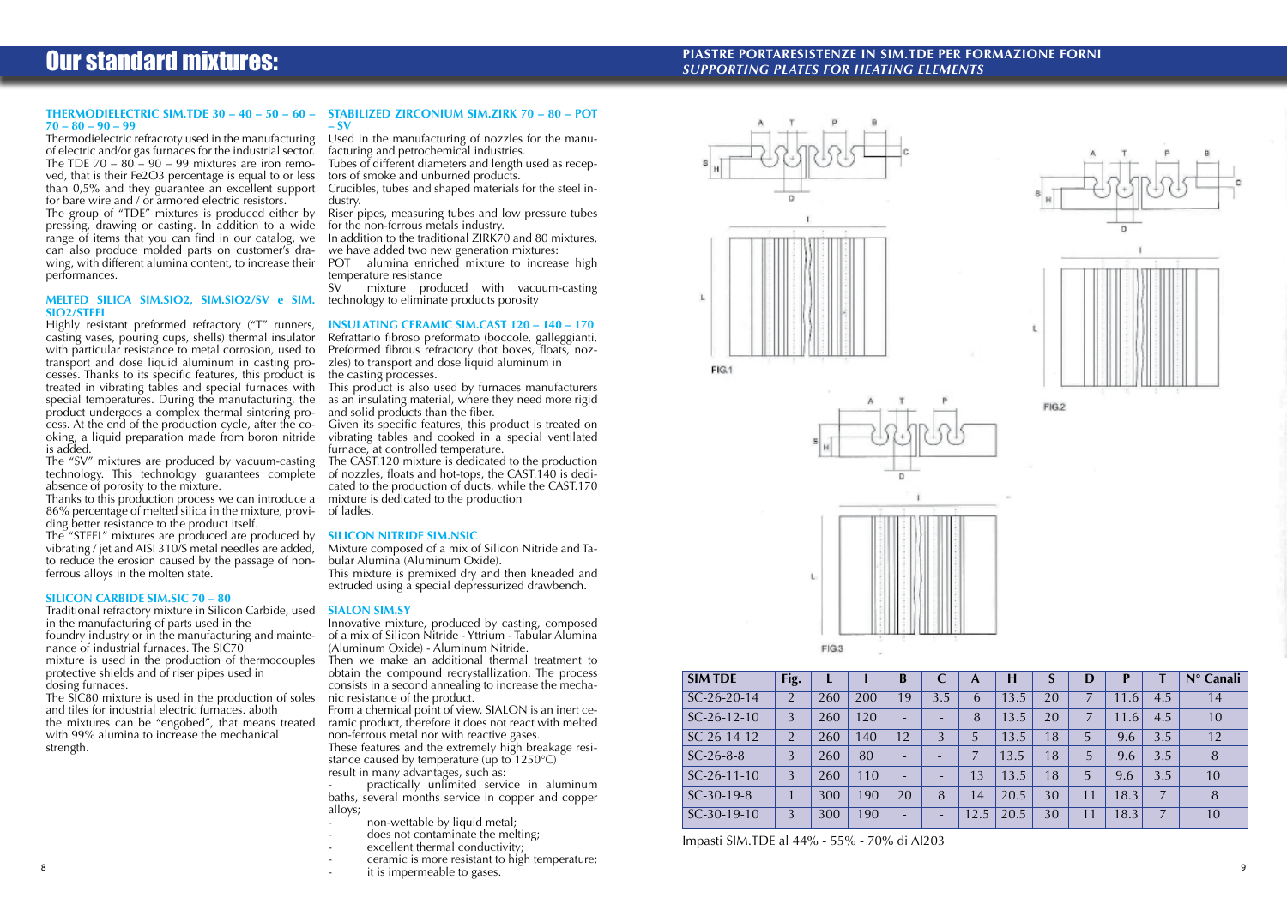## **PIASTRE PORTARESISTENZE IN SIM.TDE PER FORMAZIONE FORNI** *SUPPORTING PLATES for HEATING ELEMENTS*





FIG.1





| <b>SIM TDE</b> | Fig.           | L   |     | B                        | C                        | A    | H    |    | D  | D                      |     | $N^{\circ}$ Canali |
|----------------|----------------|-----|-----|--------------------------|--------------------------|------|------|----|----|------------------------|-----|--------------------|
| $SC-26-20-14$  | $\overline{2}$ | 260 | 200 | 19                       | 3.5                      | 6    | 13.5 | 20 | 7  | 11<br>6.               | 4.5 | 14                 |
| $SC-26-12-10$  | $\overline{3}$ | 260 | 120 | ٠                        | $\overline{\phantom{0}}$ | 8    | 13.5 | 20 | 7  | .6 <sup>7</sup><br>11. | 4.5 | 10                 |
| $SC-26-14-12$  | $\overline{2}$ | 260 | 140 | 12                       | 3                        | 5    | 13.5 | 18 | 5  | 9.6                    | 3.5 | 12                 |
| $SC-26-8-8$    | 3              | 260 | 80  | ٠                        |                          |      | 13.5 | 18 | 5  | 9.6                    | 3.5 | 8                  |
| $SC-26-11-10$  | 3              | 260 | 110 | $-$                      | $\overline{\phantom{0}}$ | 13   | 13.5 | 18 | 5  | 9.6                    | 3.5 | 10                 |
| $SC-30-19-8$   |                | 300 | 190 | 20                       | 8                        | 14   | 20.5 | 30 | 11 | 18.3                   | 7   | 8                  |
| $SC-30-19-10$  | 3              | 300 | 190 | $\overline{\phantom{0}}$ | $\overline{\phantom{0}}$ | 12.5 | 20.5 | 30 | 11 | 8.3                    | 7   | 10                 |

Impasti SIM.TDE al 44% - 55% - 70% di AI203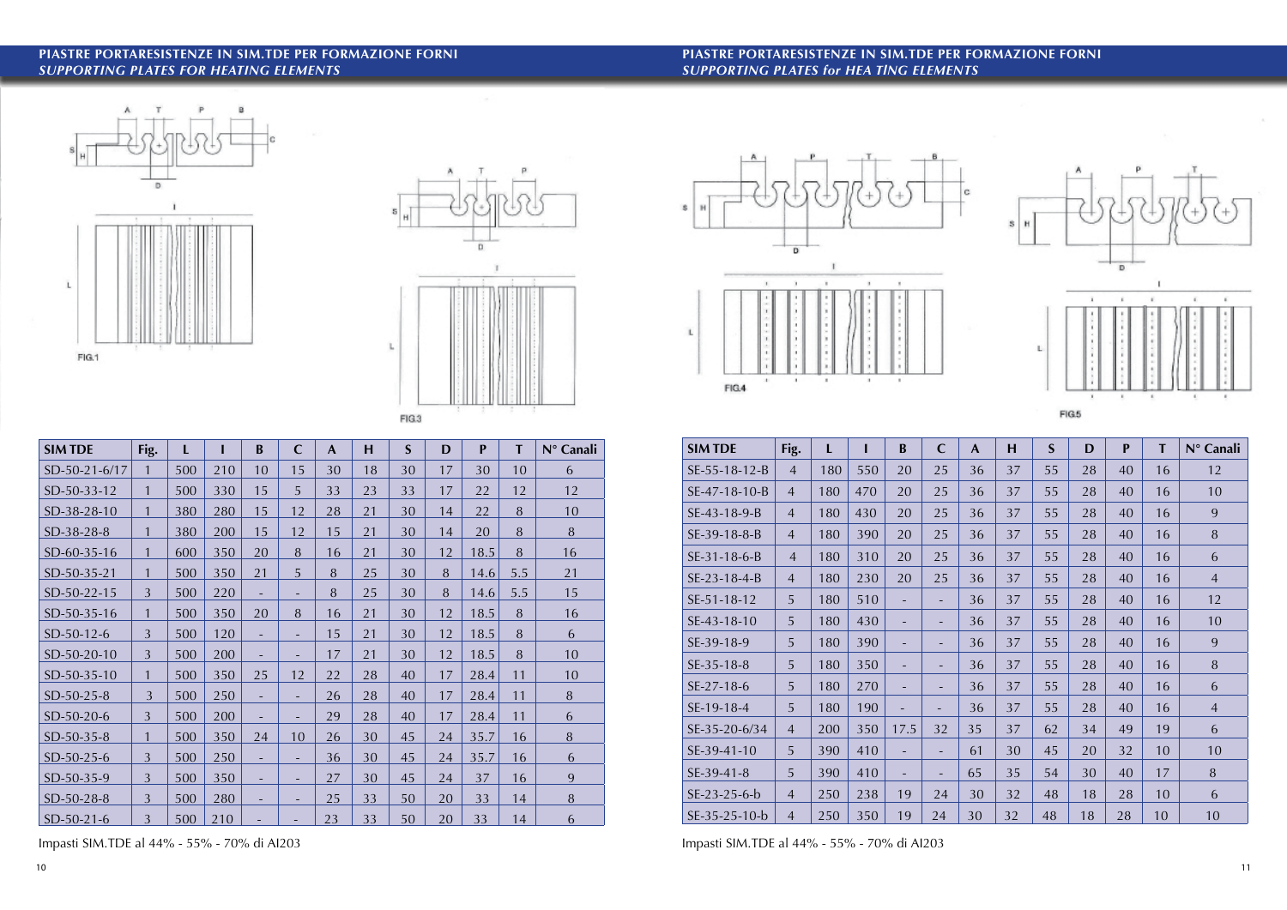**PIASTRE PORTARESISTENZE IN SIM.TDE PER FORMAZIONE FORNI** *SUPPORTING PLATES for HEA TlNG ELEMENTS*

 $\overline{\mathbf{D}}$ 

 $\mathbf{r}$ 

.

 $\mathbf{r}$ 

FIG.4

 $\mathbf{I}$ 

To 1

 $\sim$ 

 $S$  H

 $\mathsf L$ 





# **PIASTRE PORTARESISTENZE in SIM.TDE per FORMAZIONE FORNI** *SUPPORTING PLATES for HEATING ELEMENTS*

| <b>SIM TDE</b> | Fig.           | L   |     | B                        | $\mathbf C$ | $\mathbf{A}$ | н  | $\mathbf S$ | D  | P    | T   | N° Canali |
|----------------|----------------|-----|-----|--------------------------|-------------|--------------|----|-------------|----|------|-----|-----------|
| SD-50-21-6/17  | $\mathbf{1}$   | 500 | 210 | 10                       | 15          | 30           | 18 | 30          | 17 | 30   | 10  | 6         |
| SD-50-33-12    | $\mathbf{1}$   | 500 | 330 | 15                       | 5           | 33           | 23 | 33          | 17 | 22   | 12  | 12        |
| SD-38-28-10    | $\mathbf{1}$   | 380 | 280 | 15                       | 12          | 28           | 21 | 30          | 14 | 22   | 8   | 10        |
| SD-38-28-8     | $\mathbf{1}$   | 380 | 200 | 15                       | 12          | 15           | 21 | 30          | 14 | 20   | 8   | $\, 8$    |
| SD-60-35-16    | $\mathbf{1}$   | 600 | 350 | 20                       | 8           | 16           | 21 | 30          | 12 | 18.5 | 8   | 16        |
| SD-50-35-21    | $\mathbf{1}$   | 500 | 350 | 21                       | 5           | 8            | 25 | 30          | 8  | 14.6 | 5.5 | 21        |
| SD-50-22-15    | 3              | 500 | 220 |                          | ٠           | 8            | 25 | 30          | 8  | 14.6 | 5.5 | 15        |
| SD-50-35-16    | $\mathbf{1}$   | 500 | 350 | 20                       | 8           | 16           | 21 | 30          | 12 | 18.5 | 8   | 16        |
| $SD-50-12-6$   | 3              | 500 | 120 | $\overline{\phantom{a}}$ | Ξ.          | 15           | 21 | 30          | 12 | 18.5 | 8   | 6         |
| SD-50-20-10    | 3              | 500 | 200 | $\overline{\phantom{a}}$ | Ξ.          | 17           | 21 | 30          | 12 | 18.5 | 8   | 10        |
| SD-50-35-10    | $\mathbf{1}$   | 500 | 350 | 25                       | 12          | 22           | 28 | 40          | 17 | 28.4 | 11  | 10        |
| SD-50-25-8     | $\overline{3}$ | 500 | 250 | $\overline{\phantom{a}}$ | -           | 26           | 28 | 40          | 17 | 28.4 | 11  | 8         |
| SD-50-20-6     | 3              | 500 | 200 | $\overline{\phantom{a}}$ | Ξ.          | 29           | 28 | 40          | 17 | 28.4 | 11  | 6         |
| SD-50-35-8     | 1              | 500 | 350 | 24                       | 10          | 26           | 30 | 45          | 24 | 35.7 | 16  | $\, 8$    |
| SD-50-25-6     | 3              | 500 | 250 | ٠                        | Ξ.          | 36           | 30 | 45          | 24 | 35.7 | 16  | 6         |
| SD-50-35-9     | 3              | 500 | 350 | ٠                        | -           | 27           | 30 | 45          | 24 | 37   | 16  | 9         |
| SD-50-28-8     | 3              | 500 | 280 | ٠                        | Ξ.          | 25           | 33 | 50          | 20 | 33   | 14  | 8         |
| $SD-50-21-6$   | 3              | 500 | 210 | ٠                        | ٠           | 23           | 33 | 50          | 20 | 33   | 14  | 6         |

|                |                |     |     |          |                          |              |    |             | Lingth |              |    |                |
|----------------|----------------|-----|-----|----------|--------------------------|--------------|----|-------------|--------|--------------|----|----------------|
| <b>SIM TDE</b> | Fig.           | L   |     | $\bf{B}$ | $\mathbf C$              | $\mathbf{A}$ | H  | $\mathbf S$ | D      | $\mathbf{P}$ | T  | N° Canali      |
| SE-55-18-12-B  | $\overline{4}$ | 180 | 550 | 20       | 25                       | 36           | 37 | 55          | 28     | 40           | 16 | 12             |
| SE-47-18-10-B  | $\overline{4}$ | 180 | 470 | 20       | 25                       | 36           | 37 | 55          | 28     | 40           | 16 | 10             |
| SE-43-18-9-B   | $\overline{4}$ | 180 | 430 | 20       | 25                       | 36           | 37 | 55          | 28     | 40           | 16 | 9              |
| SE-39-18-8-B   | $\overline{4}$ | 180 | 390 | 20       | 25                       | 36           | 37 | 55          | 28     | 40           | 16 | 8              |
| $SE-31-18-6-B$ | $\overline{4}$ | 180 | 310 | 20       | 25                       | 36           | 37 | 55          | 28     | 40           | 16 | 6              |
| SE-23-18-4-B   | $\overline{4}$ | 180 | 230 | 20       | 25                       | 36           | 37 | 55          | 28     | 40           | 16 | $\overline{4}$ |
| SE-51-18-12    | 5              | 180 | 510 | ÷        | ٠                        | 36           | 37 | 55          | 28     | 40           | 16 | 12             |
| SE-43-18-10    | 5              | 180 | 430 |          |                          | 36           | 37 | 55          | 28     | 40           | 16 | 10             |
| SE-39-18-9     | 5              | 180 | 390 |          |                          | 36           | 37 | 55          | 28     | 40           | 16 | 9              |
| SE-35-18-8     | 5              | 180 | 350 | ÷        | -                        | 36           | 37 | 55          | 28     | 40           | 16 | 8              |
| SE-27-18-6     | 5              | 180 | 270 | ÷        | -                        | 36           | 37 | 55          | 28     | 40           | 16 | 6              |
| SE-19-18-4     | 5              | 180 | 190 |          | $\overline{\phantom{0}}$ | 36           | 37 | 55          | 28     | 40           | 16 | $\overline{4}$ |
| SE-35-20-6/34  | $\overline{4}$ | 200 | 350 | 17.5     | 32                       | 35           | 37 | 62          | 34     | 49           | 19 | 6              |
| SE-39-41-10    | 5              | 390 | 410 | ٠        | ٠                        | 61           | 30 | 45          | 20     | 32           | 10 | 10             |
| SE-39-41-8     | 5              | 390 | 410 | ÷        | ٠                        | 65           | 35 | 54          | 30     | 40           | 17 | $\, 8$         |
| $SE-23-25-6-b$ | $\overline{4}$ | 250 | 238 | 19       | 24                       | 30           | 32 | 48          | 18     | 28           | 10 | 6              |
| SE-35-25-10-b  | $\overline{4}$ | 250 | 350 | 19       | 24                       | 30           | 32 | 48          | 18     | 28           | 10 | 10             |

 $|c|$ 

Impasti SIM.TDE al 44% - 55% - 70% di AI203 Impasti SIM.TDE al 44% - 55% - 70% di AI203

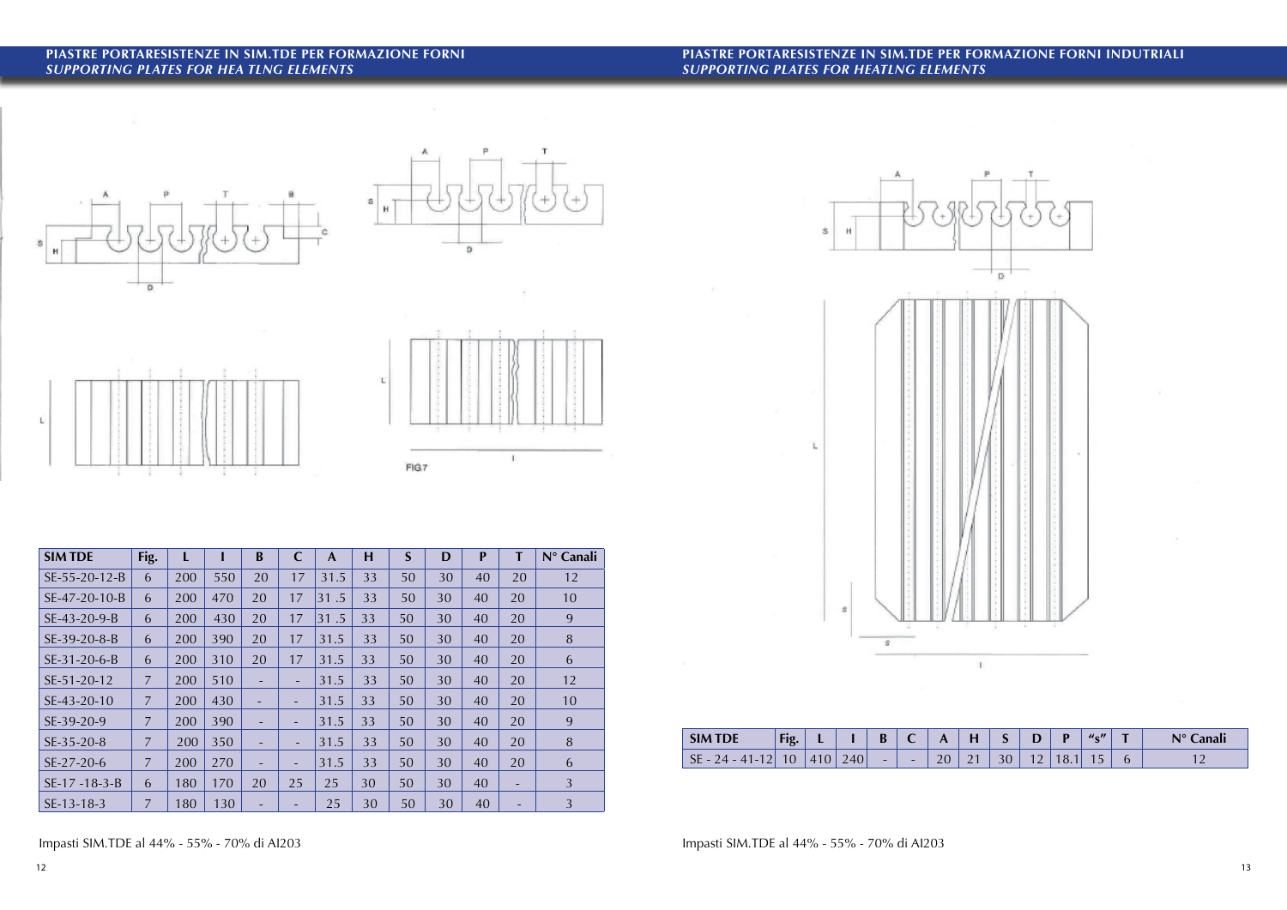## **PIASTRE PORTARESISTENZE IN SIM.TDE PER FORMAZIONE FORNI** *SUPPORTING PLATES for HEA TlNG ELEMENTS*

# **PIASTRE PORTARESISTENZE IN SIM.TDE PER FORMAZIONE FORNI INDUTRIALI** *SUPPORTING PLATES for HEATlNG ELEMENTS*









| <b>SIM TDE</b>     | Fig.           | L   |     | B  | $\mathbf C$              | $\mathbf{A}$ | H  | $\mathbf S$ | D  | $\mathbf{P}$ | T  | N° Canali |
|--------------------|----------------|-----|-----|----|--------------------------|--------------|----|-------------|----|--------------|----|-----------|
| SE-55-20-12-B      | 6              | 200 | 550 | 20 | 17                       | 31.5         | 33 | 50          | 30 | 40           | 20 | 12        |
| SE-47-20-10-B      | 6              | 200 | 470 | 20 | 17                       | 31.5         | 33 | 50          | 30 | 40           | 20 | 10        |
| SE-43-20-9-B       | 6              | 200 | 430 | 20 | 17                       | .5<br>31     | 33 | 50          | 30 | 40           | 20 | 9         |
| SE-39-20-8-B       | 6              | 200 | 390 | 20 | 17                       | 31.5         | 33 | 50          | 30 | 40           | 20 | $\, 8$    |
| $SE-31-20-6-B$     | 6              | 200 | 310 | 20 | 17                       | 31.5         | 33 | 50          | 30 | 40           | 20 | 6         |
| SE-51-20-12        | $\overline{7}$ | 200 | 510 | ۰  | ۰                        | 31.5         | 33 | 50          | 30 | 40           | 20 | 12        |
| SE-43-20-10        | $\overline{7}$ | 200 | 430 |    | $\overline{\phantom{a}}$ | 31.5         | 33 | 50          | 30 | 40           | 20 | 10        |
| SE-39-20-9         | $\overline{7}$ | 200 | 390 | ۰  | $\overline{\phantom{a}}$ | 31.5         | 33 | 50          | 30 | 40           | 20 | 9         |
| SE-35-20-8         | 7              | 200 | 350 | ٠  | $\overline{\phantom{a}}$ | 31.5         | 33 | 50          | 30 | 40           | 20 | 8         |
| SE-27-20-6         | 7              | 200 | 270 | ٠  | $\overline{\phantom{0}}$ | 31.5         | 33 | 50          | 30 | 40           | 20 | 6         |
| $SE-17 - 18-3 - B$ | 6              | 180 | 170 | 20 | 25                       | 25           | 30 | 50          | 30 | 40           | Ξ. | 3         |
| SE-13-18-3         | 7              | 180 | 130 |    |                          | 25           | 30 | 50          | 30 | 40           |    | 3         |





| <b>SIM</b><br>TDE | $-$<br>Fig. | . .                                     |                               | D                        |                          |                    |                    |               | -                        |    | U <sub>c</sub> | <b>STATE</b> | $N^{\circ}$ Canali<br>лнан |
|-------------------|-------------|-----------------------------------------|-------------------------------|--------------------------|--------------------------|--------------------|--------------------|---------------|--------------------------|----|----------------|--------------|----------------------------|
| $\sqrt{ }$        | $\sim$<br>v | $\overline{a}$<br>$\overline{4}$<br>4 O | 240 <sub>1</sub><br>$\sim$ 10 | $\overline{\phantom{0}}$ | $\overline{\phantom{0}}$ | $\Omega$<br>$\sim$ | $\sim$<br>$\sim$ 1 | $\sim$ $\sim$ | $\overline{\phantom{a}}$ | U. |                |              | $\sim$                     |

Impasti SIM.TDE al 44% - 55% - 70% di AI203 Impasti SIM.TDE al 44% - 55% - 70% di AI203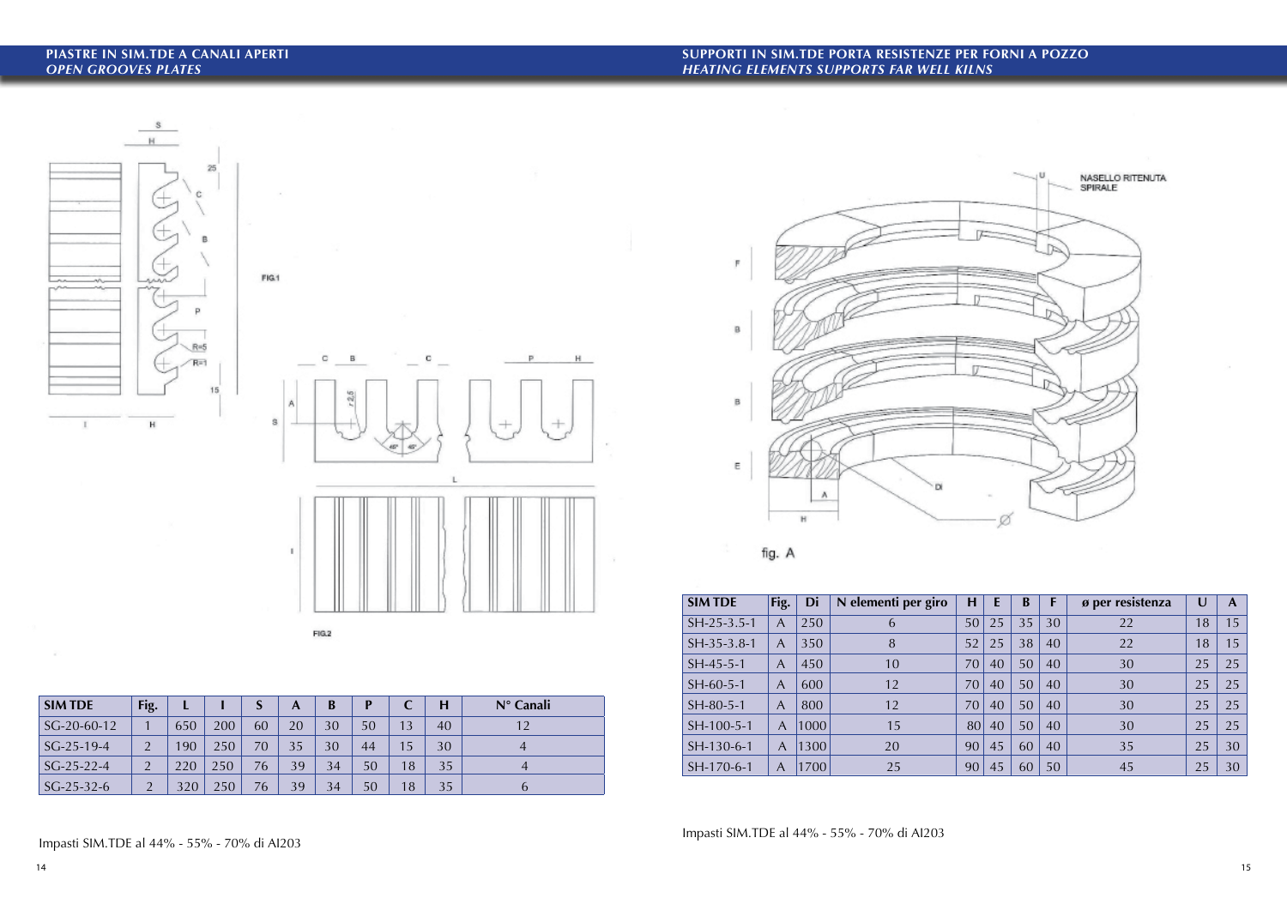# **PIASTRE in SIM.TDE a CANALI APERTI** *OPEN GROOVES PLATES*





| <b>SIMTDE</b> | Fig.           |     |     |    | A  | B  | P  |    | Н  | $N^{\circ}$ Canali |
|---------------|----------------|-----|-----|----|----|----|----|----|----|--------------------|
| $SG-20-60-12$ |                | 650 | 200 | 60 | 20 | 30 | 50 | 13 | 40 | 12                 |
| $SG-25-19-4$  | $\overline{2}$ | 190 | 250 | 70 | 35 | 30 | 44 | 15 | 30 |                    |
| $SG-25-22-4$  | $\overline{2}$ | 220 | 250 | 76 | 39 | 34 | 50 | 18 | 35 | 4                  |
| $SG-25-32-6$  | $\Omega$       | 320 | 250 | 76 | 39 | 34 | 50 | 18 | 35 | $\mathfrak b$      |





 $\sim$ 

| <b>SIM TDE</b> | Fig.           | Di   | N elementi per giro | H  | E  | B  |    | ø per resistenza | $\cup$ | A  |
|----------------|----------------|------|---------------------|----|----|----|----|------------------|--------|----|
| $SH-25-3.5-1$  | $\overline{A}$ | 250  | 6                   | 50 | 25 | 35 | 30 | 22               | 18     | 15 |
| $SH-35-3.8-1$  | A              | 350  | 8                   | 52 | 25 | 38 | 40 | 22               | 18     | 15 |
| $SH-45-5-1$    | A              | 450  | 10                  | 70 | 40 | 50 | 40 | 30               | 25     | 25 |
| $SH-60-5-1$    | A              | 600  | 12                  | 70 | 40 | 50 | 40 | 30               | 25     | 25 |
| $SH-80-5-1$    | A              | 800  | 12                  | 70 | 40 | 50 | 40 | 30               | 25     | 25 |
| SH-100-5-1     | $\overline{A}$ | 1000 | 15                  | 80 | 40 | 50 | 40 | 30               | 25     | 25 |
| SH-130-6-1     | $\overline{A}$ | 1300 | 20                  | 90 | 45 | 60 | 40 | 35               | 25     | 30 |
| SH-170-6-1     | A              | 1700 | 25                  | 90 | 45 | 60 | 50 | 45               | 25     | 30 |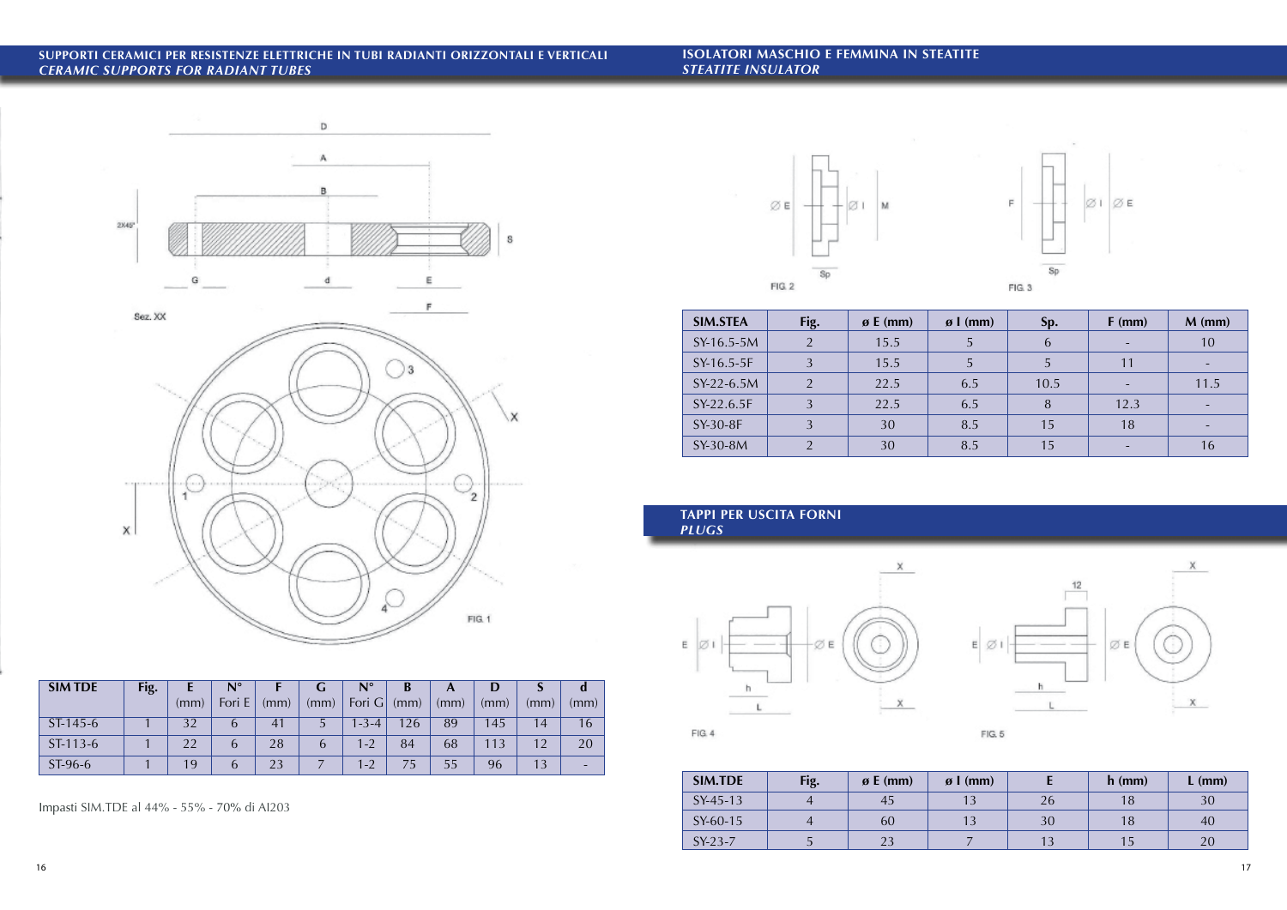## **SUPPORTI CERAMICI per RESISTENZE ELETTRICHE in TUBI RADIANTI ORIZZONTALI E VERTICALI** *CERAMIC SUPPORTS for RADIANT TUBES*

**ISOLATORI MASCHIO e FEMMINA in STEATITE** *STEATITE INSULATOR*



### **TAPPI per USCITA FORNI** *PLUGS*



 $FIG. 4$ 

| <b>SIM TDE</b> | Fig. |      | $N^{\circ}$ |      |               | $\mathsf{N}^\circ$ | B    |      |      |      |      |
|----------------|------|------|-------------|------|---------------|--------------------|------|------|------|------|------|
|                |      | (mm) | Fori E      | (mm) | (mm)          | Fori $G$           | (mm) | (mm) | (mm) | (mm) | (mm) |
| ST-145-6       |      | 32   | b           | 41   |               | $1 - 3 - 4$        | 126  | 89   | 145  | 14   | 16   |
| $ST-113-6$     |      | 22   | b           | 28   | $\mathfrak b$ | $1 - 2$            | 84   | 68   | 113  | 12   | 20   |
| ST-96-6        |      | 19   | 6           | 23   |               | $1 - 2$            |      | 55   | 96   | 13   |      |

| <b>SIM.STEA</b> | Fig.           | $\boldsymbol{\emptyset}$ E (mm) | $\boldsymbol{\varnothing}$   (mm) | Sp.  | $F$ (mm) | $M$ (mm) |
|-----------------|----------------|---------------------------------|-----------------------------------|------|----------|----------|
| SY-16.5-5M      | $\overline{2}$ | 15.5                            | 5                                 | 6    |          | 10       |
| SY-16.5-5F      | $\overline{3}$ | 15.5                            | 5                                 | 5    | 11       |          |
| SY-22-6.5M      | $\mathcal{D}$  | 22.5                            | 6.5                               | 10.5 |          | 11.5     |
| SY-22.6.5F      | $\overline{3}$ | 22.5                            | 6.5                               | 8    | 12.3     |          |
| SY-30-8F        | $\overline{3}$ | 30                              | 8.5                               | 15   | 18       |          |
| SY-30-8M        | $\mathcal{D}$  | 30                              | 8.5                               | 15   |          | 16       |

| <b>SIM.TDE</b> | Fig. | $\boldsymbol{\beta}$ E (mm) | $\boldsymbol{\beta}$   (mm) |    | $h$ (mm) | $L$ (mm) |
|----------------|------|-----------------------------|-----------------------------|----|----------|----------|
| $SY-45-13$     |      |                             |                             | 26 |          | 30       |
| SY-60-15       |      | 60                          |                             | 30 |          | 40       |
| $SY-23-7$      |      |                             |                             |    |          |          |







FIG. 5

Impasti SIM.TDE al 44% - 55% - 70% di AI203

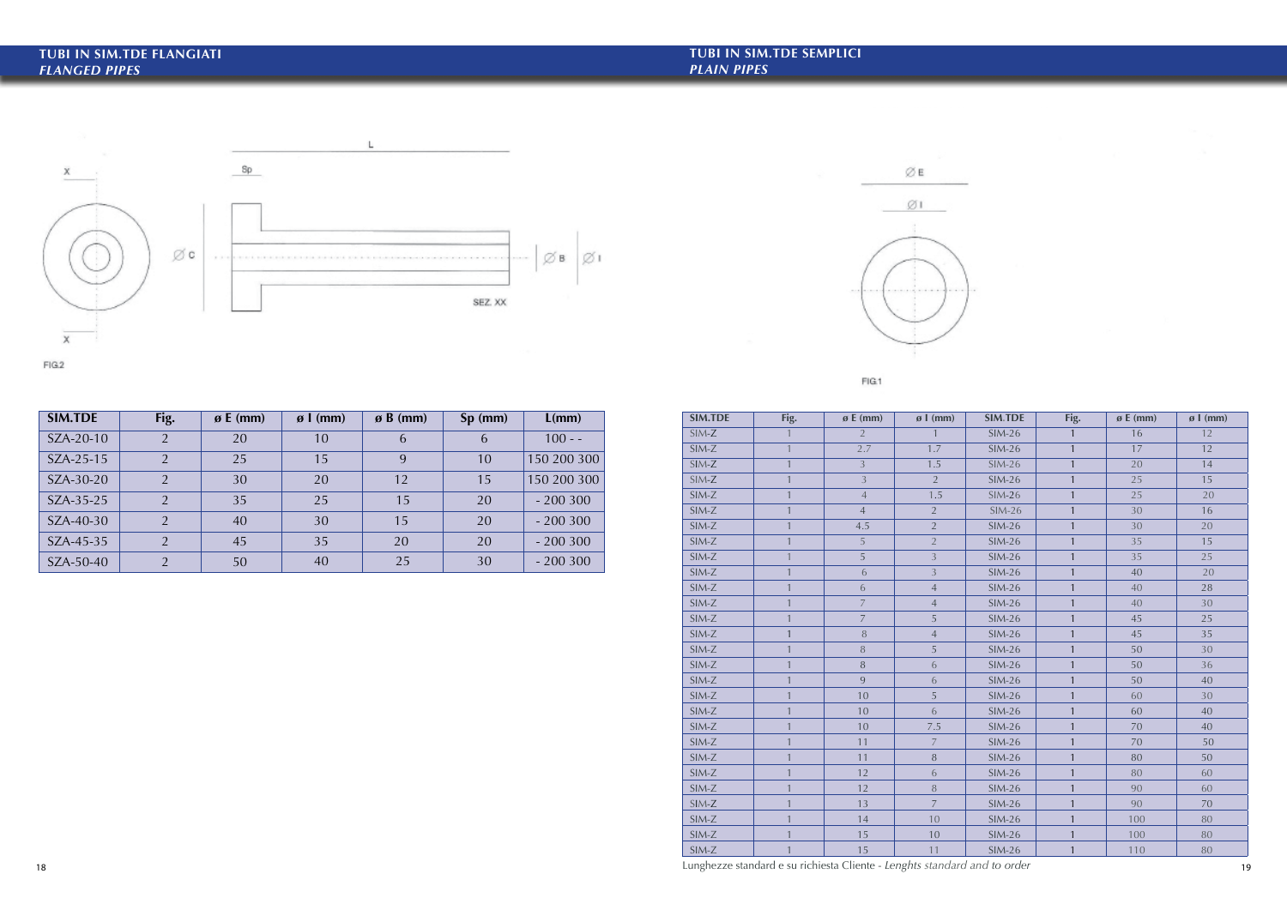| <b>SIM.TDE</b> | Fig.         | $\boldsymbol{\varnothing}$ E (mm) | $\varnothing$ l (mm) | <b>SIM.TDE</b> | Fig.           | $\boldsymbol{\varnothing}$ E (mm) | $\emptyset$ l (mm) |
|----------------|--------------|-----------------------------------|----------------------|----------------|----------------|-----------------------------------|--------------------|
| $SIM-Z$        |              | $\overline{2}$                    |                      | $SIM-26$       | $\mathbf{1}$   | 16                                | 12                 |
| $SIM-Z$        | $\mathbf{1}$ | 2.7                               | 1.7                  | $SIM-26$       | $\mathbf{1}$   | 17                                | 12                 |
| $SIM-Z$        | $\mathbf{1}$ | $\overline{3}$                    | 1.5                  | $SIM-26$       | $\mathbf{1}$   | 20                                | 14                 |
| $SIM-Z$        | $\mathbf{1}$ | $\overline{3}$                    | $\overline{2}$       | $SIM-26$       | $\mathbf{1}$   | 25                                | 15                 |
| $SIM-Z$        | $\mathbf{1}$ | $\overline{4}$                    | 1.5                  | $SIM-26$       | $\mathbf{1}$   | 25                                | 20                 |
| $SIM-Z$        | $\mathbf{1}$ | $\overline{4}$                    | $2^{\circ}$          | $SIM-26$       | $\mathbf{1}$   | 30                                | 16                 |
| $SIM-Z$        | $\mathbf{1}$ | 4.5                               | $\overline{2}$       | $SIM-26$       | $\mathbf{1}$   | 30                                | 20                 |
| $SIM-Z$        | $\mathbf{1}$ | 5                                 | $\overline{2}$       | $SIM-26$       | $\mathbf{1}$   | 35                                | 15                 |
| $SIM-Z$        | $\mathbf{1}$ | 5                                 | $\overline{3}$       | $SIM-26$       | $\overline{1}$ | 35                                | 25                 |
| $SIM-Z$        | $\mathbf{1}$ | $\boldsymbol{6}$                  | $\overline{3}$       | $SIM-26$       | $\overline{1}$ | 40                                | 20                 |
| $SIM-Z$        | $\mathbf{1}$ | 6                                 | $\overline{4}$       | $SIM-26$       | $\mathbf{1}$   | 40                                | 28                 |
| $SIM-Z$        | $\mathbf{1}$ | $\overline{7}$                    | $\overline{4}$       | $SIM-26$       | $\mathbf{1}$   | 40                                | 30                 |
| $SIM-Z$        | $\mathbf{1}$ | $\overline{7}$                    | 5                    | $SIM-26$       | $\mathbf{1}$   | 45                                | 25                 |
| $SIM-Z$        | $\mathbf{1}$ | $\, 8$                            | $\overline{4}$       | $SIM-26$       | $\mathbf{1}$   | 45                                | 35                 |
| $SIM-Z$        | $\mathbf{1}$ | $\, 8$                            | 5                    | $SIM-26$       | $\mathbf{1}$   | 50                                | 30                 |
| $SIM-Z$        | $\mathbf{1}$ | $\, 8$                            | 6                    | $SIM-26$       | $\mathbf{1}$   | 50                                | 36                 |
| $SIM-Z$        | $\mathbf{1}$ | 9                                 | 6                    | $SIM-26$       | $\mathbf{1}$   | 50                                | 40                 |
| $SIM-Z$        | $\mathbf{1}$ | 10                                | 5                    | $SIM-26$       | $\mathbf{1}$   | 60                                | 30                 |
| SIM-Z          | $\mathbf{1}$ | 10                                | 6                    | $SIM-26$       | $\mathbf{1}$   | 60                                | 40                 |
| SIM-Z          | $\mathbf{1}$ | 10                                | $7.5\,$              | $SIM-26$       | $\mathbf{1}$   | 70                                | 40                 |
| $SIM-Z$        | $\mathbf{1}$ | 11                                | $\overline{7}$       | $SIM-26$       | $\mathbf{1}$   | 70                                | 50                 |
| $SIM-Z$        | $\mathbf{1}$ | 11                                | $\, 8$               | $SIM-26$       | $\mathbf{1}$   | 80                                | 50                 |
| $SIM-Z$        | $\mathbf{1}$ | 12                                | 6                    | $SIM-26$       | $\mathbf{1}$   | 80                                | 60                 |
| $SIM-Z$        | $\mathbf{1}$ | 12                                | 8                    | <b>SIM-26</b>  | $\mathbf{1}$   | 90                                | 60                 |
| $SIM-Z$        | $\mathbf{1}$ | 13                                | $\overline{7}$       | $SIM-26$       | $\mathbf{1}$   | 90                                | 70                 |
| $SIM-Z$        | $\mathbf{1}$ | 14                                | 10                   | $SIM-26$       | $\mathbf{1}$   | 100                               | 80                 |
| $SIM-Z$        | 1            | 15                                | 10                   | $SIM-26$       | $\mathbf{1}$   | 100                               | 80                 |
| $SIM-Z$        | $\mathbf{1}$ | 15                                | 11                   | $SIM-26$       | $\mathbf{1}$   | 110                               | 80                 |

| <b>SIM.TDE</b> | Fig.           | $\boldsymbol{\emptyset}$ E (mm) | $\boldsymbol{\beta}$   (mm) | $\boldsymbol{\beta}$ B (mm) | $Sp$ (mm) | L(mm)       |
|----------------|----------------|---------------------------------|-----------------------------|-----------------------------|-----------|-------------|
| SZA-20-10      | $\overline{2}$ | 20                              | 10                          | 6                           | 6         | $100 - -$   |
| $SZA-25-15$    | $\mathcal{P}$  | 25                              | 15                          | 9                           | 10        | 150 200 300 |
| SZA-30-20      | $\overline{2}$ | 30                              | 20                          | 12                          | 15        | 150 200 300 |
| $SZA-35-25$    | $\mathcal{P}$  | 35                              | 25                          | 15                          | 20        | $-200300$   |
| SZA-40-30      |                | 40                              | 30                          | 15                          | 20        | $-200300$   |
| $SZA-45-35$    | $\mathcal{P}$  | 45                              | 35                          | 20                          | 20        | $-200300$   |
| SZA-50-40      | $\mathcal{D}$  | 50                              | 40                          | 25                          | 30        | $-200300$   |



FIG.1





L

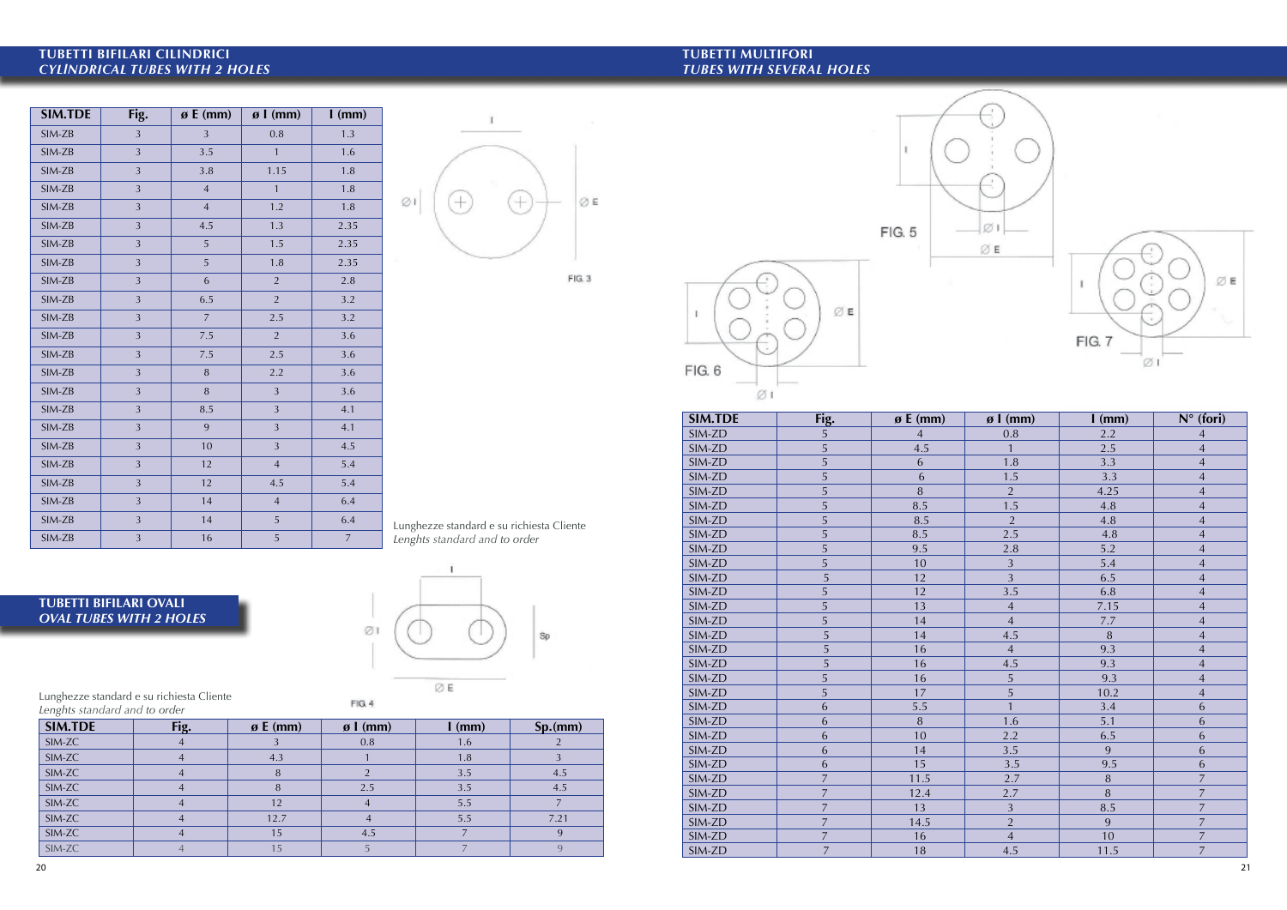| Lunghezze standard e su richiesta Cliente |  |
|-------------------------------------------|--|
| Lenghts standard and to order             |  |

| <b>SIM.TDE</b> | Fig.           | $\boldsymbol{\beta}$ E (mm) | $\boldsymbol{\beta}$   (mm) | $l$ (mm)         |
|----------------|----------------|-----------------------------|-----------------------------|------------------|
| SIM-ZB         | 3              | 3                           | 0.8                         | 1.3              |
| SIM-ZB         | 3              | 3.5                         | $\mathbf{1}$                | 1.6              |
| SIM-ZB         | 3              | 3.8                         | 1.15                        | 1.8              |
| SIM-ZB         | 3              | $\overline{4}$              | $\mathbf{1}$                | 1.8              |
| SIM-ZB         | 3              | $\overline{4}$              | 1.2                         | 1.8              |
| SIM-ZB         | 3              | 4.5                         | 1.3                         | 2.35             |
| SIM-ZB         | 3              | 5                           | 1.5                         | 2.35             |
| SIM-ZB         | 3              | 5                           | 1.8                         | 2.35             |
| SIM-ZB         | 3              | 6                           | $\overline{2}$              | 2.8              |
| SIM-ZB         | 3              | 6.5                         | $\overline{2}$              | 3.2              |
| SIM-ZB         | $\mathfrak{Z}$ | $\overline{7}$              | 2.5                         | 3.2              |
| SIM-ZB         | 3              | 7.5                         | $\overline{2}$              | 3.6              |
| SIM-ZB         | 3              | 7.5                         | 2.5                         | 3.6              |
| SIM-ZB         | 3              | $\, 8$                      | 2.2                         | 3.6              |
| SIM-ZB         | 3              | $\, 8$                      | 3                           | 3.6              |
| SIM-ZB         | 3              | 8.5                         | 3                           | 4.1              |
| SIM-ZB         | 3              | 9                           | 3                           | 4.1              |
| SIM-ZB         | $\mathfrak{Z}$ | 10                          | $\mathfrak{Z}$              | 4.5              |
| SIM-ZB         | 3              | 12                          | $\overline{4}$              | 5.4              |
| SIM-ZB         | 3              | 12                          | 4.5                         | 5.4              |
| SIM-ZB         | 3              | 14                          | $\overline{4}$              | 6.4              |
| SIM-ZB         | 3              | 14                          | 5                           | 6.4              |
| SIM-ZB         | 3              | 16                          | 5                           | $\boldsymbol{7}$ |



FIG. 3

| <b>SIM.TDE</b> | Fig.           | $\boldsymbol{\beta}$ E (mm) | $\boldsymbol{\beta}$   (mm) | $l$ (mm) | Sp.(mm) |
|----------------|----------------|-----------------------------|-----------------------------|----------|---------|
| SIM-ZC         |                |                             | 0.8                         | 1.6      |         |
| SIM-ZC         | $\overline{4}$ | 4.3                         |                             | 1.8      |         |
| SIM-ZC         |                | 8                           |                             | 3.5      | 4.5     |
| SIM-ZC         | 4              | 8                           | 2.5                         | 3.5      | 4.5     |
| SIM-ZC         | 4              | 12                          |                             | 5.5      |         |
| SIM-ZC         |                | 12.7                        |                             | 5.5      | 7.21    |
| SIM-ZC         |                | 15                          | 4.5                         |          | 9       |
| SIM-ZC         |                | 15                          |                             |          |         |

| $JIV$ - $L$ D  | ⊃                                         | 0.5            | ⊃                                  | 4.1                         |                                           |                | SIM.TDE          | Fig.            | $\boldsymbol{\mathfrak{g}}$ E (mm) | $\boldsymbol{\mathfrak{g}}$ l (mm) | $l$ (mm)       | $N^{\circ}$ (fori) |
|----------------|-------------------------------------------|----------------|------------------------------------|-----------------------------|-------------------------------------------|----------------|------------------|-----------------|------------------------------------|------------------------------------|----------------|--------------------|
| SIM-ZB         | $\overline{3}$                            | 9              | $\overline{3}$                     | 4.1                         |                                           |                | SIM-ZD           | 5               |                                    | 0.8                                | 2.2            |                    |
| SIM-ZB         | $\overline{3}$                            | 10             | $\overline{3}$                     | 4.5                         |                                           |                | SIM-ZD           | 5               | 4.5                                |                                    | 2.5            |                    |
| SIM-ZB         | $\overline{3}$                            | 12             | $\overline{4}$                     | 5.4                         |                                           |                | SIM-ZD           | 5               | 6                                  | 1.8                                | 3.3            |                    |
| SIM-ZB         | $\overline{3}$                            | 12             | 4.5                                | 5.4                         |                                           |                | SIM-ZD           | 5               | 6                                  | 1.5                                | 3.3            |                    |
|                |                                           |                |                                    |                             |                                           |                | SIM-ZD           | 5               | 8                                  | $\overline{2}$                     | 4.25           |                    |
| SIM-ZB         | $\overline{3}$                            | 14             | $\overline{4}$                     | 6.4                         |                                           |                | SIM-ZD           | $\overline{5}$  | 8.5                                | 1.5                                | 4.8            |                    |
| SIM-ZB         | $\overline{3}$                            | 14             | $5\overline{)}$                    | 6.4                         | Lunghezze standard e su richiesta Cliente |                | SIM-ZD           | 5               | 8.5                                | $\overline{2}$                     | 4.8            |                    |
| SIM-ZB         | $\overline{3}$                            | 16             | $5\overline{)}$                    | $\overline{7}$              | Lenghts standard and to order             |                | SIM-ZD           | 5               | 8.5                                | 2.5                                | 4.8            |                    |
|                |                                           |                |                                    |                             |                                           |                | SIM-ZD           | 5               | 9.5                                | 2.8                                | 5.2            |                    |
|                |                                           |                |                                    |                             |                                           |                | SIM-ZD           | 5               | 10                                 | 3                                  | 5.4            |                    |
|                |                                           |                |                                    |                             |                                           |                | SIM-ZD           | 5               | 12                                 | $\overline{3}$                     | 6.5            |                    |
|                | <b>TUBETTI BIFILARI OVALI</b>             |                |                                    |                             |                                           |                | SIM-ZD           | $\overline{5}$  | 12                                 | 3.5                                | 6.8            | $\overline{A}$     |
|                |                                           |                |                                    |                             |                                           |                | SIM-ZD           | 5               | 13                                 | $\overline{4}$                     | 7.15           |                    |
|                | <b>OVAL TUBES WITH 2 HOLES</b>            |                |                                    | ø                           |                                           |                | SIM-ZD           | 5               | 14                                 | $\overline{4}$                     | 7.7            |                    |
|                |                                           |                |                                    |                             |                                           | Sp             | SIM-ZD           | $5\overline{)}$ | 14                                 | 4.5                                | $8\phantom{1}$ | $\overline{A}$     |
|                |                                           |                |                                    |                             |                                           |                | SIM-ZD           | $\overline{5}$  | 16                                 | $\overline{4}$                     | 9.3            |                    |
|                |                                           |                |                                    |                             |                                           |                | SIM-ZD           | $\overline{5}$  | 16                                 | 4.5                                | 9.3            |                    |
|                |                                           |                |                                    |                             | ØE                                        |                | SIM-ZD           | .5              | 16                                 |                                    | 9.3            |                    |
|                | Lunghezze standard e su richiesta Cliente |                |                                    | FIG. 4                      |                                           |                | SIM-ZD           | 5               | 17                                 | 5                                  | 10.2           |                    |
|                | Lenghts standard and to order             |                |                                    |                             |                                           |                | SIM-ZD<br>SIM-ZD | 6               | 5.5                                |                                    | 3.4            | 6                  |
| <b>SIM.TDE</b> |                                           | Fig.           | $\boldsymbol{\mathfrak{g}}$ E (mm) | $\boldsymbol{\beta}$   (mm) | $l$ (mm)                                  | Sp.(mm)        | SIM-ZD           | 6<br>6          | $8\phantom{.}$<br>10               | 1.6<br>2.2                         | 5.1<br>6.5     | 6                  |
| SIM-ZC         |                                           | $\overline{4}$ |                                    | 0.8                         | 1.6                                       | 2              | SIM-ZD           |                 | 14                                 | 3.5                                | 9              |                    |
| SIM-ZC         |                                           | $\overline{A}$ | 4.3                                |                             | 1.8                                       | $\overline{3}$ | SIM-ZD           | 6<br>6          | 15                                 | 3.5                                | 9.5            | $\mathfrak b$<br>6 |
| SIM-ZC         |                                           | $\overline{4}$ | 8                                  | $\overline{2}$              | 3.5                                       | 4.5            | SIM-ZD           | $\overline{7}$  | 11.5                               | 2.7                                | 8              | $\overline{7}$     |
| SIM-ZC         |                                           |                | 8                                  | 2.5                         | 3.5                                       | 4.5            | SIM-ZD           | $\overline{7}$  | 12.4                               | 2.7                                | 8              | $\overline{7}$     |
| SIM-ZC         |                                           |                | 12                                 | $\overline{4}$              | 5.5                                       | $\overline{7}$ | SIM-ZD           | $\overline{7}$  | 13                                 | 3                                  | 8.5            |                    |
| SIM-ZC         |                                           | $\overline{4}$ | 12.7                               | $\overline{4}$              | 5.5                                       | 7.21           | SIM-ZD           | $\overline{7}$  | 14.5                               | 2                                  | 9              | $\overline{7}$     |
| SIM-ZC         |                                           | $\overline{4}$ | 15                                 | 4.5                         | $\overline{7}$                            | 9              | SIM-ZD           | $\overline{7}$  | 16                                 | $\overline{4}$                     | 10             | $\overline{7}$     |
| SIM-ZC         |                                           |                | 15                                 | $\overline{5}$              | $7\overline{ }$                           | 9              | SIM-ZD           | $\overline{7}$  | 18                                 | 4.5                                | 11.5           | $\overline{7}$     |
| 20             |                                           |                |                                    |                             |                                           |                |                  |                 |                                    |                                    |                |                    |



## **TUBETTI BIFILARI OVALI** *OVAL TUBES WITH 2 HOLES*

# **TUBETTI BIFILARI CILINDRICI** *CYLlNDRICAL TUBES WITH 2 HOLES*

# **TUBETTI MULTIFORI** *TUBES WITH SEVERAL HOLES*